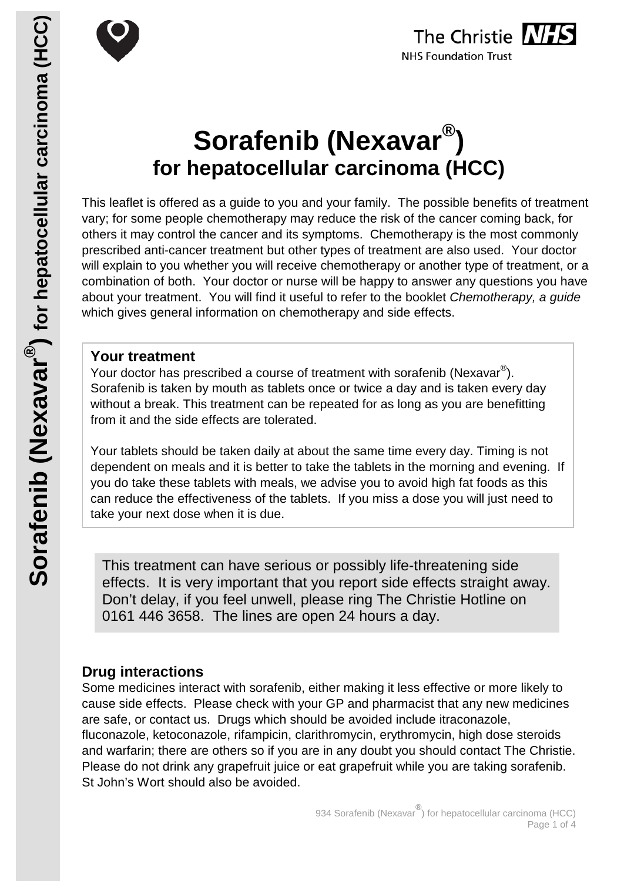



# **Sorafenib (Nexavar®) for hepatocellular carcinoma (HCC)**

This leaflet is offered as a guide to you and your family. The possible benefits of treatment vary; for some people chemotherapy may reduce the risk of the cancer coming back, for others it may control the cancer and its symptoms. Chemotherapy is the most commonly prescribed anti-cancer treatment but other types of treatment are also used. Your doctor will explain to you whether you will receive chemotherapy or another type of treatment, or a combination of both. Your doctor or nurse will be happy to answer any questions you have about your treatment. You will find it useful to refer to the booklet *Chemotherapy, a guide* which gives general information on chemotherapy and side effects.

#### **Your treatment**

Your doctor has prescribed a course of treatment with sorafenib (Nexavar $^{\circledR}$ ). Sorafenib is taken by mouth as tablets once or twice a day and is taken every day without a break. This treatment can be repeated for as long as you are benefitting from it and the side effects are tolerated.

Your tablets should be taken daily at about the same time every day. Timing is not dependent on meals and it is better to take the tablets in the morning and evening. If you do take these tablets with meals, we advise you to avoid high fat foods as this can reduce the effectiveness of the tablets. If you miss a dose you will just need to take your next dose when it is due.

This treatment can have serious or possibly life-threatening side effects. It is very important that you report side effects straight away. Don't delay, if you feel unwell, please ring The Christie Hotline on 0161 446 3658. The lines are open 24 hours a day.

## **Drug interactions**

Some medicines interact with sorafenib, either making it less effective or more likely to cause side effects. Please check with your GP and pharmacist that any new medicines are safe, or contact us. Drugs which should be avoided include itraconazole, fluconazole, ketoconazole, rifampicin, clarithromycin, erythromycin, high dose steroids and warfarin; there are others so if you are in any doubt you should contact The Christie. Please do not drink any grapefruit juice or eat grapefruit while you are taking sorafenib. St John's Wort should also be avoided.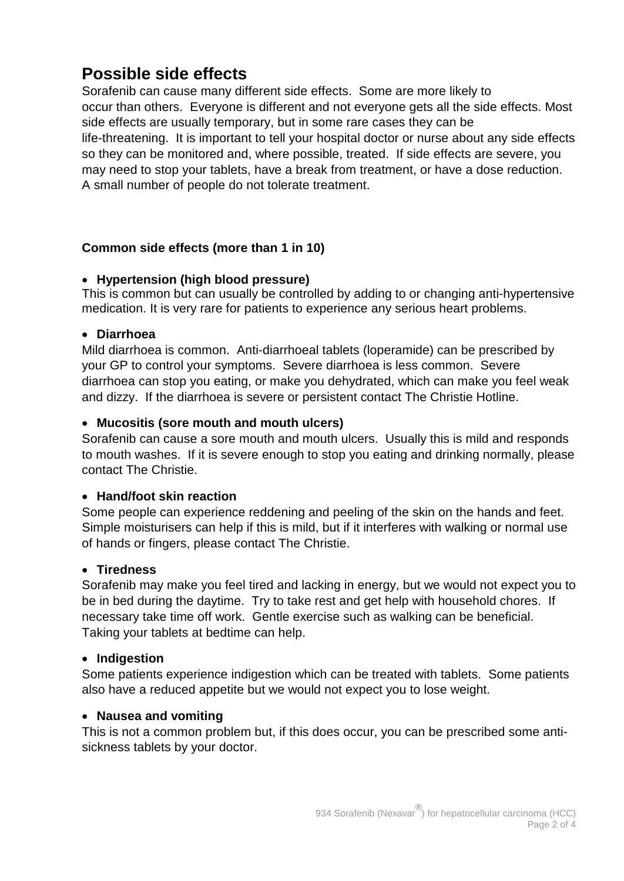## **Possible side effects**

Sorafenib can cause many different side effects. Some are more likely to occur than others. Everyone is different and not everyone gets all the side effects. Most side effects are usually temporary, but in some rare cases they can be life-threatening. It is important to tell your hospital doctor or nurse about any side effects so they can be monitored and, where possible, treated. If side effects are severe, you may need to stop your tablets, have a break from treatment, or have a dose reduction. A small number of people do not tolerate treatment.

#### **Common side effects (more than 1 in 10)**

#### • **Hypertension (high blood pressure)**

This is common but can usually be controlled by adding to or changing anti-hypertensive medication. It is very rare for patients to experience any serious heart problems.

#### • **Diarrhoea**

Mild diarrhoea is common. Anti-diarrhoeal tablets (loperamide) can be prescribed by your GP to control your symptoms. Severe diarrhoea is less common. Severe diarrhoea can stop you eating, or make you dehydrated, which can make you feel weak and dizzy. If the diarrhoea is severe or persistent contact The Christie Hotline.

#### • **Mucositis (sore mouth and mouth ulcers)**

Sorafenib can cause a sore mouth and mouth ulcers. Usually this is mild and responds to mouth washes. If it is severe enough to stop you eating and drinking normally, please contact The Christie.

#### • **Hand/foot skin reaction**

Some people can experience reddening and peeling of the skin on the hands and feet. Simple moisturisers can help if this is mild, but if it interferes with walking or normal use of hands or fingers, please contact The Christie.

#### • **Tiredness**

Sorafenib may make you feel tired and lacking in energy, but we would not expect you to be in bed during the daytime. Try to take rest and get help with household chores. If necessary take time off work. Gentle exercise such as walking can be beneficial. Taking your tablets at bedtime can help.

#### • **Indigestion**

Some patients experience indigestion which can be treated with tablets. Some patients also have a reduced appetite but we would not expect you to lose weight.

#### • **Nausea and vomiting**

This is not a common problem but, if this does occur, you can be prescribed some antisickness tablets by your doctor.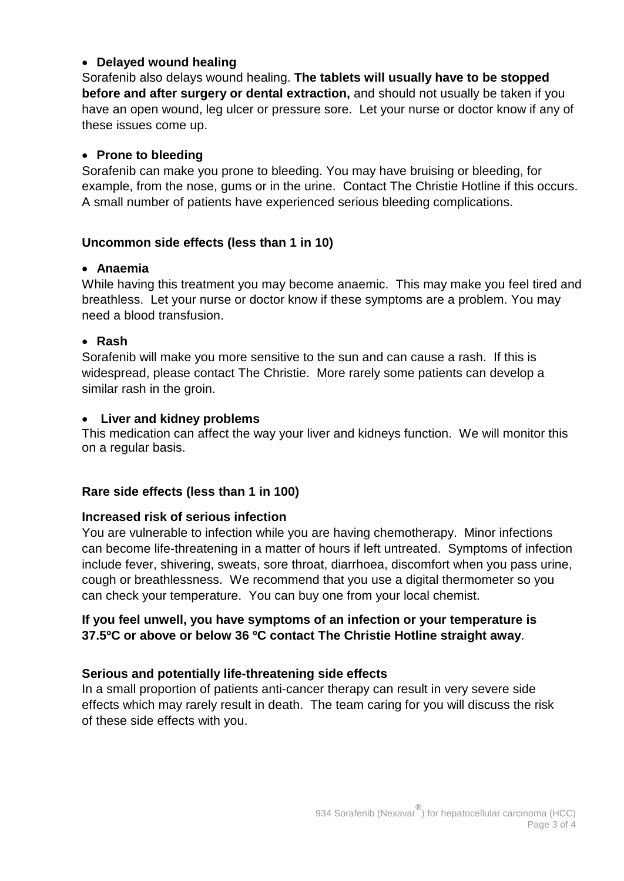#### • **Delayed wound healing**

Sorafenib also delays wound healing. **The tablets will usually have to be stopped before and after surgery or dental extraction,** and should not usually be taken if you have an open wound, leg ulcer or pressure sore. Let your nurse or doctor know if any of these issues come up.

#### • **Prone to bleeding**

Sorafenib can make you prone to bleeding. You may have bruising or bleeding, for example, from the nose, gums or in the urine. Contact The Christie Hotline if this occurs. A small number of patients have experienced serious bleeding complications.

#### **Uncommon side effects (less than 1 in 10)**

#### • **Anaemia**

While having this treatment you may become anaemic. This may make you feel tired and breathless. Let your nurse or doctor know if these symptoms are a problem. You may need a blood transfusion.

#### • **Rash**

Sorafenib will make you more sensitive to the sun and can cause a rash. If this is widespread, please contact The Christie. More rarely some patients can develop a similar rash in the groin.

#### • **Liver and kidney problems**

This medication can affect the way your liver and kidneys function. We will monitor this on a regular basis.

#### **Rare side effects (less than 1 in 100)**

#### **Increased risk of serious infection**

You are vulnerable to infection while you are having chemotherapy. Minor infections can become life-threatening in a matter of hours if left untreated. Symptoms of infection include fever, shivering, sweats, sore throat, diarrhoea, discomfort when you pass urine, cough or breathlessness. We recommend that you use a digital thermometer so you can check your temperature. You can buy one from your local chemist.

#### **If you feel unwell, you have symptoms of an infection or your temperature is 37.5ºC or above or below 36 ºC contact The Christie Hotline straight away**.

#### **Serious and potentially life-threatening side effects**

In a small proportion of patients anti-cancer therapy can result in very severe side effects which may rarely result in death. The team caring for you will discuss the risk of these side effects with you.